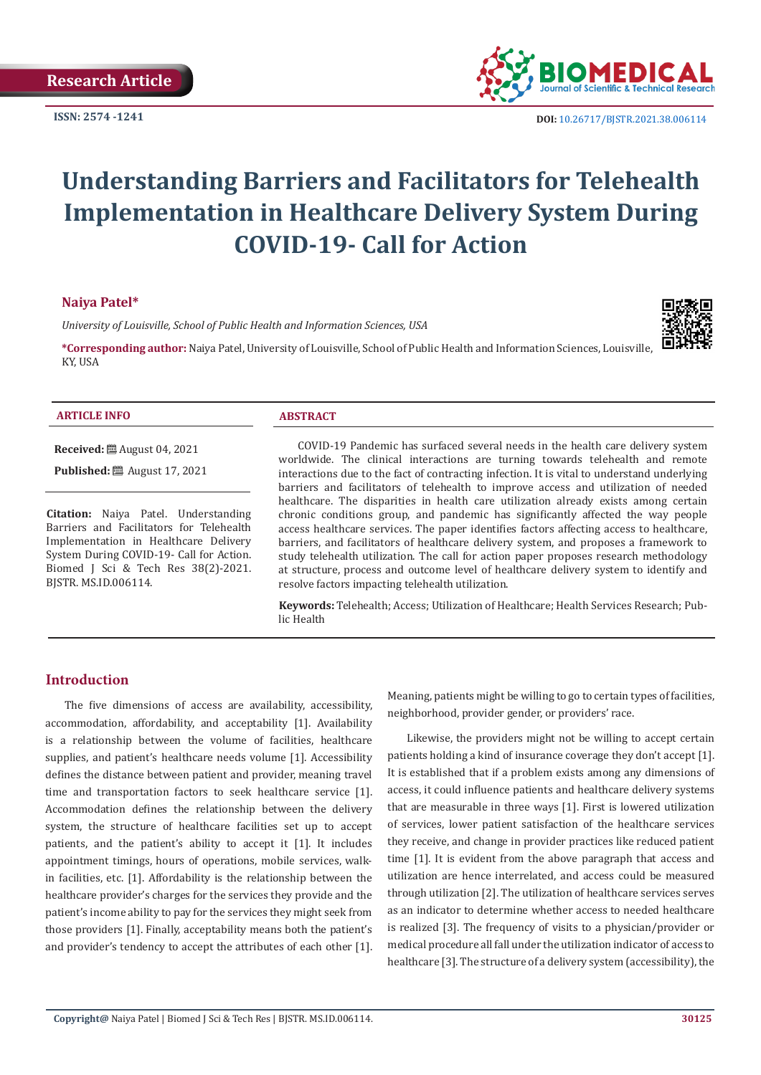**ISSN: 2574 -1241**



 **DOI:** [10.26717/BJSTR.2021.38.006114](https://dx.doi.org/10.26717/BJSTR.2021.38.006114)

# **Understanding Barriers and Facilitators for Telehealth Implementation in Healthcare Delivery System During COVID-19- Call for Action**

# **Naiya Patel\***

*University of Louisville, School of Public Health and Information Sciences, USA*

**\*Corresponding author:** Naiya Patel, University of Louisville, School of Public Health and Information Sciences, Louisville, KY, USA



#### **ARTICLE INFO ABSTRACT**

**Received:** August 04, 2021

**Published:** ■ August 17, 2021

**Citation:** Naiya Patel. Understanding Barriers and Facilitators for Telehealth Implementation in Healthcare Delivery System During COVID-19- Call for Action. Biomed J Sci & Tech Res 38(2)-2021. BJSTR. MS.ID.006114.

COVID-19 Pandemic has surfaced several needs in the health care delivery system worldwide. The clinical interactions are turning towards telehealth and remote interactions due to the fact of contracting infection. It is vital to understand underlying barriers and facilitators of telehealth to improve access and utilization of needed healthcare. The disparities in health care utilization already exists among certain chronic conditions group, and pandemic has significantly affected the way people access healthcare services. The paper identifies factors affecting access to healthcare, barriers, and facilitators of healthcare delivery system, and proposes a framework to study telehealth utilization. The call for action paper proposes research methodology at structure, process and outcome level of healthcare delivery system to identify and resolve factors impacting telehealth utilization.

**Keywords:** Telehealth; Access; Utilization of Healthcare; Health Services Research; Public Health

# **Introduction**

The five dimensions of access are availability, accessibility, accommodation, affordability, and acceptability [1]. Availability is a relationship between the volume of facilities, healthcare supplies, and patient's healthcare needs volume [1]. Accessibility defines the distance between patient and provider, meaning travel time and transportation factors to seek healthcare service [1]. Accommodation defines the relationship between the delivery system, the structure of healthcare facilities set up to accept patients, and the patient's ability to accept it [1]. It includes appointment timings, hours of operations, mobile services, walkin facilities, etc. [1]. Affordability is the relationship between the healthcare provider's charges for the services they provide and the patient's income ability to pay for the services they might seek from those providers [1]. Finally, acceptability means both the patient's and provider's tendency to accept the attributes of each other [1].

Meaning, patients might be willing to go to certain types of facilities, neighborhood, provider gender, or providers' race.

Likewise, the providers might not be willing to accept certain patients holding a kind of insurance coverage they don't accept [1]. It is established that if a problem exists among any dimensions of access, it could influence patients and healthcare delivery systems that are measurable in three ways [1]. First is lowered utilization of services, lower patient satisfaction of the healthcare services they receive, and change in provider practices like reduced patient time [1]. It is evident from the above paragraph that access and utilization are hence interrelated, and access could be measured through utilization [2]. The utilization of healthcare services serves as an indicator to determine whether access to needed healthcare is realized [3]. The frequency of visits to a physician/provider or medical procedure all fall under the utilization indicator of access to healthcare [3]. The structure of a delivery system (accessibility), the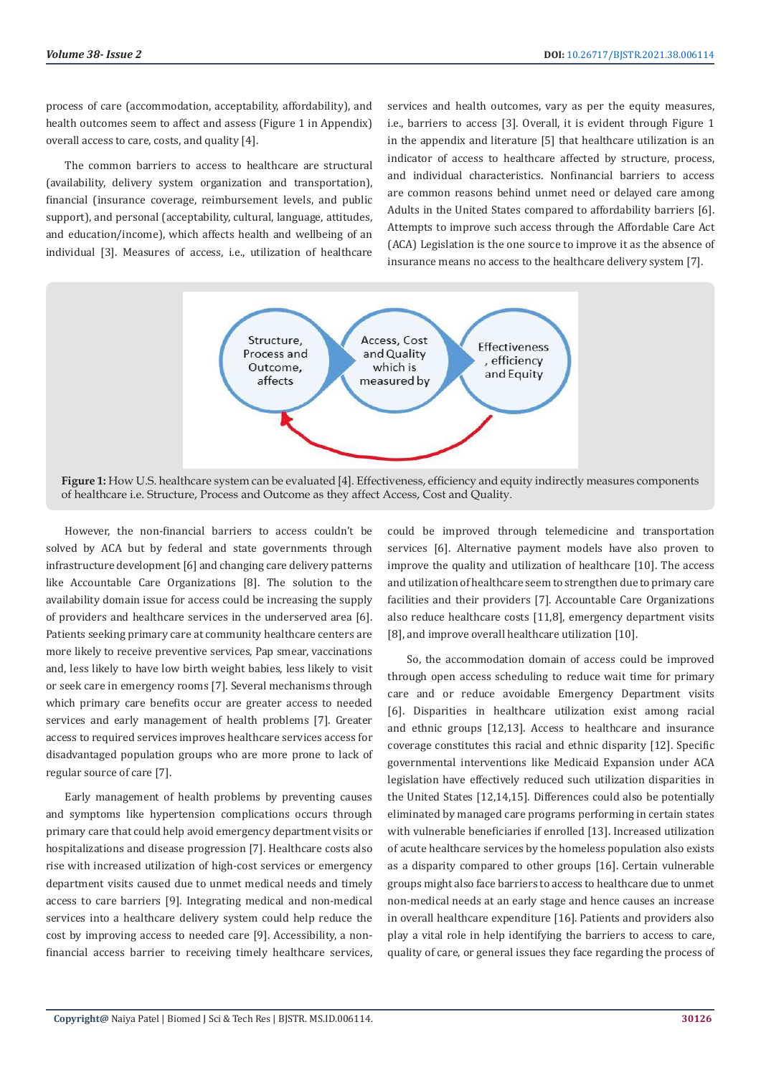process of care (accommodation, acceptability, affordability), and health outcomes seem to affect and assess (Figure 1 in Appendix) overall access to care, costs, and quality [4].

The common barriers to access to healthcare are structural (availability, delivery system organization and transportation), financial (insurance coverage, reimbursement levels, and public support), and personal (acceptability, cultural, language, attitudes, and education/income), which affects health and wellbeing of an individual [3]. Measures of access, i.e., utilization of healthcare

services and health outcomes, vary as per the equity measures, i.e., barriers to access [3]. Overall, it is evident through Figure 1 in the appendix and literature [5] that healthcare utilization is an indicator of access to healthcare affected by structure, process, and individual characteristics. Nonfinancial barriers to access are common reasons behind unmet need or delayed care among Adults in the United States compared to affordability barriers [6]. Attempts to improve such access through the Affordable Care Act (ACA) Legislation is the one source to improve it as the absence of insurance means no access to the healthcare delivery system [7].



**Figure 1:** How U.S. healthcare system can be evaluated [4]. Effectiveness, efficiency and equity indirectly measures components of healthcare i.e. Structure, Process and Outcome as they affect Access, Cost and Quality.

However, the non-financial barriers to access couldn't be solved by ACA but by federal and state governments through infrastructure development [6] and changing care delivery patterns like Accountable Care Organizations [8]. The solution to the availability domain issue for access could be increasing the supply of providers and healthcare services in the underserved area [6]. Patients seeking primary care at community healthcare centers are more likely to receive preventive services, Pap smear, vaccinations and, less likely to have low birth weight babies, less likely to visit or seek care in emergency rooms [7]. Several mechanisms through which primary care benefits occur are greater access to needed services and early management of health problems [7]. Greater access to required services improves healthcare services access for disadvantaged population groups who are more prone to lack of regular source of care [7].

Early management of health problems by preventing causes and symptoms like hypertension complications occurs through primary care that could help avoid emergency department visits or hospitalizations and disease progression [7]. Healthcare costs also rise with increased utilization of high-cost services or emergency department visits caused due to unmet medical needs and timely access to care barriers [9]. Integrating medical and non-medical services into a healthcare delivery system could help reduce the cost by improving access to needed care [9]. Accessibility, a nonfinancial access barrier to receiving timely healthcare services,

could be improved through telemedicine and transportation services [6]. Alternative payment models have also proven to improve the quality and utilization of healthcare [10]. The access and utilization of healthcare seem to strengthen due to primary care facilities and their providers [7]. Accountable Care Organizations also reduce healthcare costs [11,8], emergency department visits [8], and improve overall healthcare utilization [10].

So, the accommodation domain of access could be improved through open access scheduling to reduce wait time for primary care and or reduce avoidable Emergency Department visits [6]. Disparities in healthcare utilization exist among racial and ethnic groups [12,13]. Access to healthcare and insurance coverage constitutes this racial and ethnic disparity [12]. Specific governmental interventions like Medicaid Expansion under ACA legislation have effectively reduced such utilization disparities in the United States [12,14,15]. Differences could also be potentially eliminated by managed care programs performing in certain states with vulnerable beneficiaries if enrolled [13]. Increased utilization of acute healthcare services by the homeless population also exists as a disparity compared to other groups [16]. Certain vulnerable groups might also face barriers to access to healthcare due to unmet non-medical needs at an early stage and hence causes an increase in overall healthcare expenditure [16]. Patients and providers also play a vital role in help identifying the barriers to access to care, quality of care, or general issues they face regarding the process of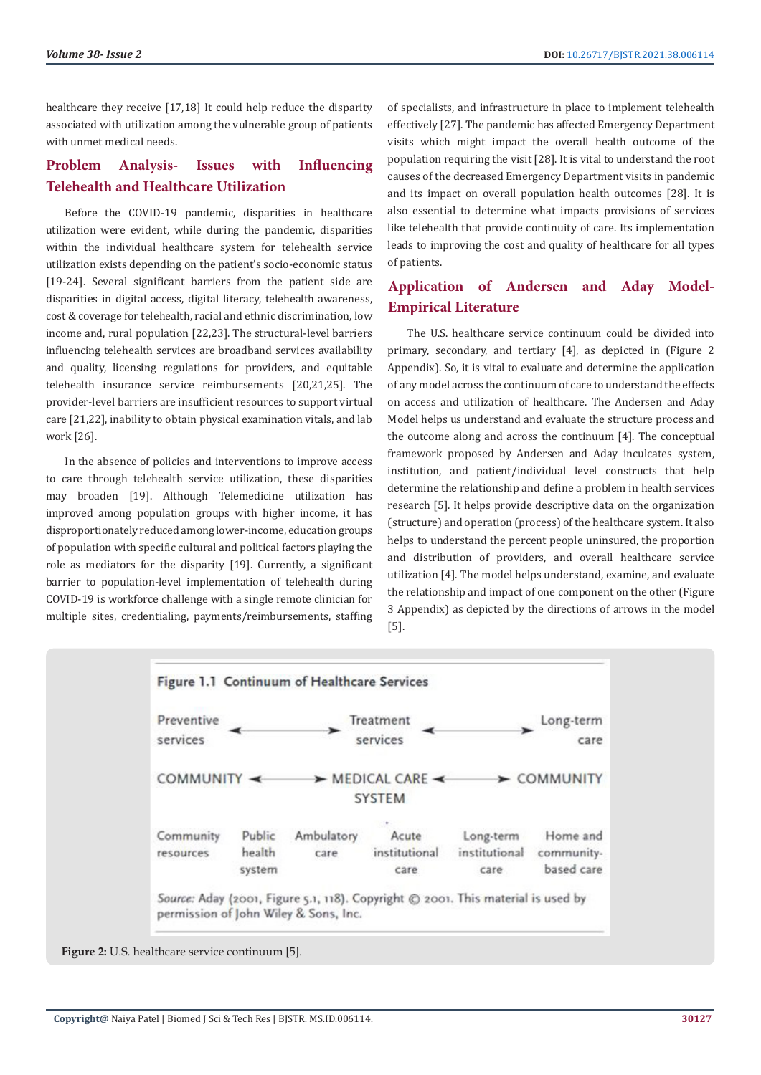healthcare they receive [17,18] It could help reduce the disparity associated with utilization among the vulnerable group of patients with unmet medical needs.

# **Problem Analysis- Issues with Influencing Telehealth and Healthcare Utilization**

Before the COVID-19 pandemic, disparities in healthcare utilization were evident, while during the pandemic, disparities within the individual healthcare system for telehealth service utilization exists depending on the patient's socio-economic status [19-24]. Several significant barriers from the patient side are disparities in digital access, digital literacy, telehealth awareness, cost & coverage for telehealth, racial and ethnic discrimination, low income and, rural population [22,23]. The structural-level barriers influencing telehealth services are broadband services availability and quality, licensing regulations for providers, and equitable telehealth insurance service reimbursements [20,21,25]. The provider-level barriers are insufficient resources to support virtual care [21,22], inability to obtain physical examination vitals, and lab work [26].

In the absence of policies and interventions to improve access to care through telehealth service utilization, these disparities may broaden [19]. Although Telemedicine utilization has improved among population groups with higher income, it has disproportionately reduced among lower-income, education groups of population with specific cultural and political factors playing the role as mediators for the disparity [19]. Currently, a significant barrier to population-level implementation of telehealth during COVID-19 is workforce challenge with a single remote clinician for multiple sites, credentialing, payments/reimbursements, staffing

of specialists, and infrastructure in place to implement telehealth effectively [27]. The pandemic has affected Emergency Department visits which might impact the overall health outcome of the population requiring the visit [28]. It is vital to understand the root causes of the decreased Emergency Department visits in pandemic and its impact on overall population health outcomes [28]. It is also essential to determine what impacts provisions of services like telehealth that provide continuity of care. Its implementation leads to improving the cost and quality of healthcare for all types of patients.

# **Application of Andersen and Aday Model-Empirical Literature**

The U.S. healthcare service continuum could be divided into primary, secondary, and tertiary [4], as depicted in (Figure 2 Appendix). So, it is vital to evaluate and determine the application of any model across the continuum of care to understand the effects on access and utilization of healthcare. The Andersen and Aday Model helps us understand and evaluate the structure process and the outcome along and across the continuum [4]. The conceptual framework proposed by Andersen and Aday inculcates system, institution, and patient/individual level constructs that help determine the relationship and define a problem in health services research [5]. It helps provide descriptive data on the organization (structure) and operation (process) of the healthcare system. It also helps to understand the percent people uninsured, the proportion and distribution of providers, and overall healthcare service utilization [4]. The model helps understand, examine, and evaluate the relationship and impact of one component on the other (Figure 3 Appendix) as depicted by the directions of arrows in the model [5].



**Figure 2:** U.S. healthcare service continuum [5].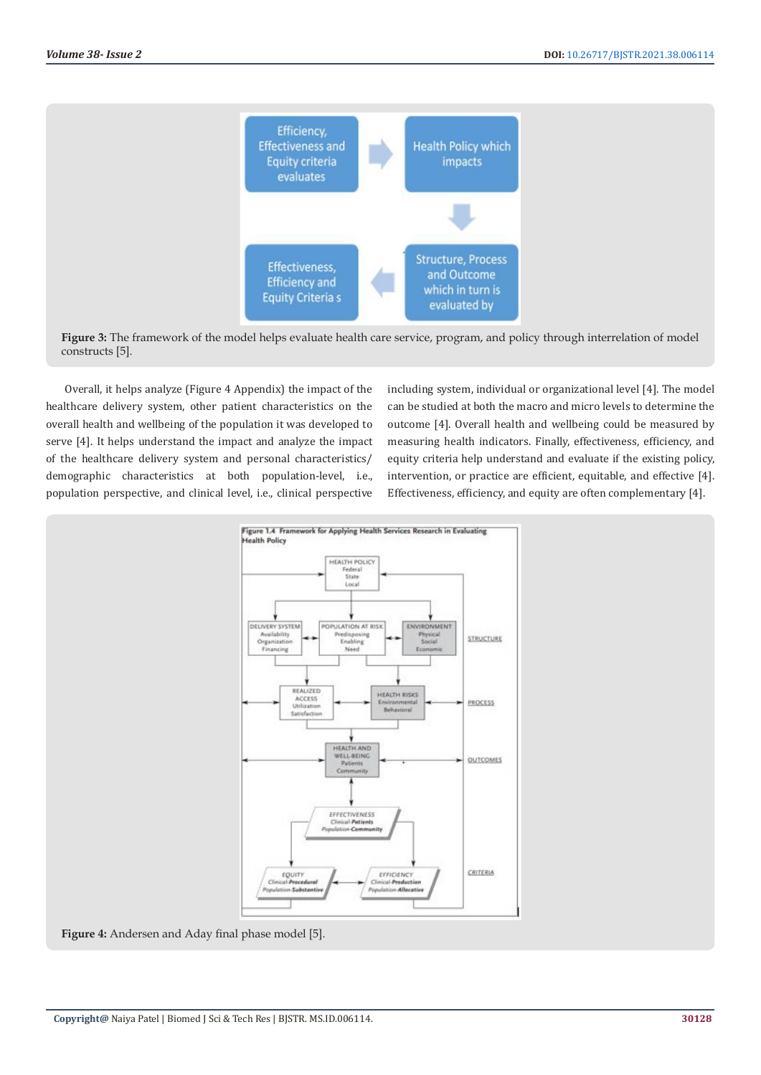

**Figure 3:** The framework of the model helps evaluate health care service, program, and policy through interrelation of model constructs [5].

Overall, it helps analyze (Figure 4 Appendix) the impact of the healthcare delivery system, other patient characteristics on the overall health and wellbeing of the population it was developed to serve [4]. It helps understand the impact and analyze the impact of the healthcare delivery system and personal characteristics/ demographic characteristics at both population-level, i.e., population perspective, and clinical level, i.e., clinical perspective

including system, individual or organizational level [4]. The model can be studied at both the macro and micro levels to determine the outcome [4]. Overall health and wellbeing could be measured by measuring health indicators. Finally, effectiveness, efficiency, and equity criteria help understand and evaluate if the existing policy, intervention, or practice are efficient, equitable, and effective [4]. Effectiveness, efficiency, and equity are often complementary [4].



**Figure 4:** Andersen and Aday final phase model [5].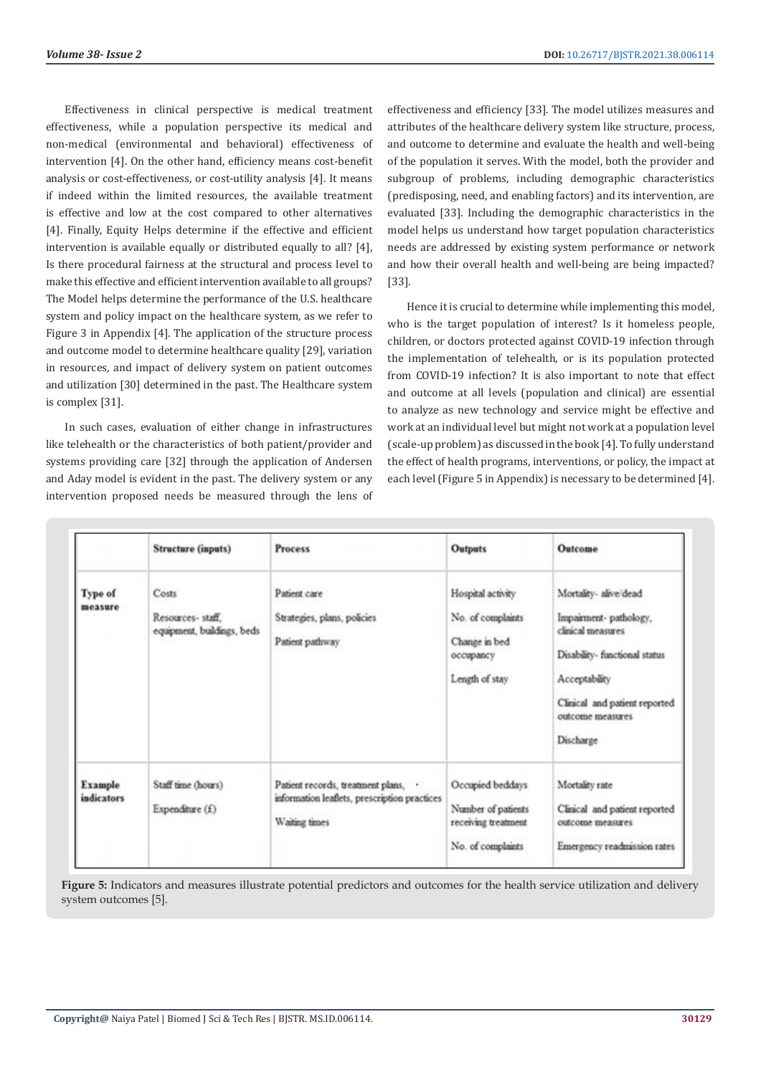Effectiveness in clinical perspective is medical treatment effectiveness, while a population perspective its medical and non-medical (environmental and behavioral) effectiveness of intervention [4]. On the other hand, efficiency means cost-benefit analysis or cost-effectiveness, or cost-utility analysis [4]. It means if indeed within the limited resources, the available treatment is effective and low at the cost compared to other alternatives [4]. Finally, Equity Helps determine if the effective and efficient intervention is available equally or distributed equally to all? [4], Is there procedural fairness at the structural and process level to make this effective and efficient intervention available to all groups? The Model helps determine the performance of the U.S. healthcare system and policy impact on the healthcare system, as we refer to Figure 3 in Appendix [4]. The application of the structure process and outcome model to determine healthcare quality [29], variation in resources, and impact of delivery system on patient outcomes and utilization [30] determined in the past. The Healthcare system is complex [31].

In such cases, evaluation of either change in infrastructures like telehealth or the characteristics of both patient/provider and systems providing care [32] through the application of Andersen and Aday model is evident in the past. The delivery system or any intervention proposed needs be measured through the lens of effectiveness and efficiency [33]. The model utilizes measures and attributes of the healthcare delivery system like structure, process, and outcome to determine and evaluate the health and well-being of the population it serves. With the model, both the provider and subgroup of problems, including demographic characteristics (predisposing, need, and enabling factors) and its intervention, are evaluated [33]. Including the demographic characteristics in the model helps us understand how target population characteristics needs are addressed by existing system performance or network and how their overall health and well-being are being impacted? [33].

Hence it is crucial to determine while implementing this model, who is the target population of interest? Is it homeless people, children, or doctors protected against COVID-19 infection through the implementation of telehealth, or is its population protected from COVID-19 infection? It is also important to note that effect and outcome at all levels (population and clinical) are essential to analyze as new technology and service might be effective and work at an individual level but might not work at a population level (scale-up problem) as discussed in the book [4]. To fully understand the effect of health programs, interventions, or policy, the impact at each level (Figure 5 in Appendix) is necessary to be determined [4].

|                              | <b>Structure (inputs)</b>                               | <b>Process</b>                                                                                       | <b>Outputs</b>                                                                         | Outcome                                                                                                                                                                                 |
|------------------------------|---------------------------------------------------------|------------------------------------------------------------------------------------------------------|----------------------------------------------------------------------------------------|-----------------------------------------------------------------------------------------------------------------------------------------------------------------------------------------|
| Type of<br>measure           | Costs<br>Resources-staff.<br>equipment, buildings, beds | Patient care<br>Strategies, plans, policies<br>Patient pathway                                       | Hospital activity<br>No. of complaints<br>Change in bed<br>occupancy<br>Length of stay | Mortality-alive/dead<br>Impairment-pathology,<br>clinical measures<br>Disability- functional status<br>Acceptability<br>Clinical and patient reported<br>outcome measures.<br>Discharge |
| Example<br><i>indicators</i> | Staff time (hours)<br>Expenditure $(f)$                 | Patient records, treatment plans, .<br>information leaflets, prescription practices<br>Waiting times | Occupied beddays<br>Number of patients<br>receiving treatment<br>No. of complaints     | Mortality rate<br>Clinical and patient reported<br>outcome measures<br>Emergency readmission rates                                                                                      |

**Figure 5:** Indicators and measures illustrate potential predictors and outcomes for the health service utilization and delivery system outcomes [5].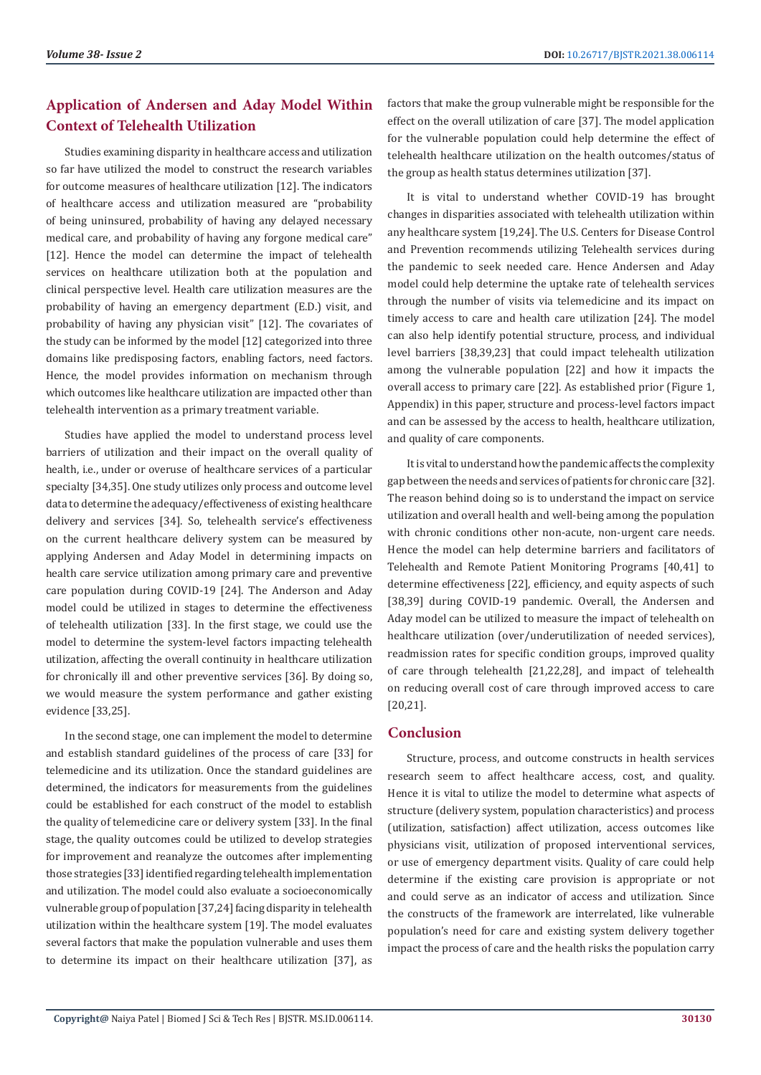# **Application of Andersen and Aday Model Within Context of Telehealth Utilization**

Studies examining disparity in healthcare access and utilization so far have utilized the model to construct the research variables for outcome measures of healthcare utilization [12]. The indicators of healthcare access and utilization measured are "probability of being uninsured, probability of having any delayed necessary medical care, and probability of having any forgone medical care" [12]. Hence the model can determine the impact of telehealth services on healthcare utilization both at the population and clinical perspective level. Health care utilization measures are the probability of having an emergency department (E.D.) visit, and probability of having any physician visit" [12]. The covariates of the study can be informed by the model [12] categorized into three domains like predisposing factors, enabling factors, need factors. Hence, the model provides information on mechanism through which outcomes like healthcare utilization are impacted other than telehealth intervention as a primary treatment variable.

Studies have applied the model to understand process level barriers of utilization and their impact on the overall quality of health, i.e., under or overuse of healthcare services of a particular specialty [34,35]. One study utilizes only process and outcome level data to determine the adequacy/effectiveness of existing healthcare delivery and services [34]. So, telehealth service's effectiveness on the current healthcare delivery system can be measured by applying Andersen and Aday Model in determining impacts on health care service utilization among primary care and preventive care population during COVID-19 [24]. The Anderson and Aday model could be utilized in stages to determine the effectiveness of telehealth utilization [33]. In the first stage, we could use the model to determine the system-level factors impacting telehealth utilization, affecting the overall continuity in healthcare utilization for chronically ill and other preventive services [36]. By doing so, we would measure the system performance and gather existing evidence [33,25].

In the second stage, one can implement the model to determine and establish standard guidelines of the process of care [33] for telemedicine and its utilization. Once the standard guidelines are determined, the indicators for measurements from the guidelines could be established for each construct of the model to establish the quality of telemedicine care or delivery system [33]. In the final stage, the quality outcomes could be utilized to develop strategies for improvement and reanalyze the outcomes after implementing those strategies [33] identified regarding telehealth implementation and utilization. The model could also evaluate a socioeconomically vulnerable group of population [37,24] facing disparity in telehealth utilization within the healthcare system [19]. The model evaluates several factors that make the population vulnerable and uses them to determine its impact on their healthcare utilization [37], as

factors that make the group vulnerable might be responsible for the effect on the overall utilization of care [37]. The model application for the vulnerable population could help determine the effect of telehealth healthcare utilization on the health outcomes/status of the group as health status determines utilization [37].

It is vital to understand whether COVID-19 has brought changes in disparities associated with telehealth utilization within any healthcare system [19,24]. The U.S. Centers for Disease Control and Prevention recommends utilizing Telehealth services during the pandemic to seek needed care. Hence Andersen and Aday model could help determine the uptake rate of telehealth services through the number of visits via telemedicine and its impact on timely access to care and health care utilization [24]. The model can also help identify potential structure, process, and individual level barriers [38,39,23] that could impact telehealth utilization among the vulnerable population [22] and how it impacts the overall access to primary care [22]. As established prior (Figure 1, Appendix) in this paper, structure and process-level factors impact and can be assessed by the access to health, healthcare utilization, and quality of care components.

It is vital to understand how the pandemic affects the complexity gap between the needs and services of patients for chronic care [32]. The reason behind doing so is to understand the impact on service utilization and overall health and well-being among the population with chronic conditions other non-acute, non-urgent care needs. Hence the model can help determine barriers and facilitators of Telehealth and Remote Patient Monitoring Programs [40,41] to determine effectiveness [22], efficiency, and equity aspects of such [38,39] during COVID-19 pandemic. Overall, the Andersen and Aday model can be utilized to measure the impact of telehealth on healthcare utilization (over/underutilization of needed services), readmission rates for specific condition groups, improved quality of care through telehealth [21,22,28], and impact of telehealth on reducing overall cost of care through improved access to care [20,21].

# **Conclusion**

Structure, process, and outcome constructs in health services research seem to affect healthcare access, cost, and quality. Hence it is vital to utilize the model to determine what aspects of structure (delivery system, population characteristics) and process (utilization, satisfaction) affect utilization, access outcomes like physicians visit, utilization of proposed interventional services, or use of emergency department visits. Quality of care could help determine if the existing care provision is appropriate or not and could serve as an indicator of access and utilization. Since the constructs of the framework are interrelated, like vulnerable population's need for care and existing system delivery together impact the process of care and the health risks the population carry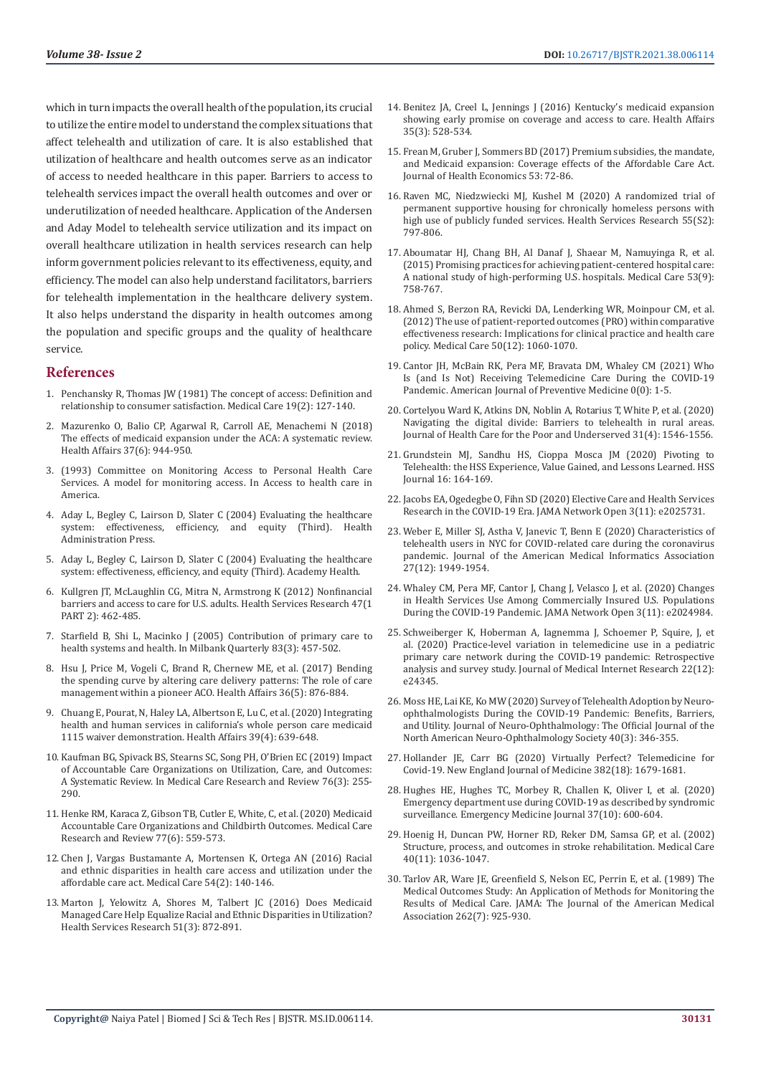which in turn impacts the overall health of the population, its crucial to utilize the entire model to understand the complex situations that affect telehealth and utilization of care. It is also established that utilization of healthcare and health outcomes serve as an indicator of access to needed healthcare in this paper. Barriers to access to telehealth services impact the overall health outcomes and over or underutilization of needed healthcare. Application of the Andersen and Aday Model to telehealth service utilization and its impact on overall healthcare utilization in health services research can help inform government policies relevant to its effectiveness, equity, and efficiency. The model can also help understand facilitators, barriers for telehealth implementation in the healthcare delivery system. It also helps understand the disparity in health outcomes among the population and specific groups and the quality of healthcare service.

# **References**

- 1. [Penchansky R, Thomas JW \(1981\) The concept of access: Definition and](https://journals.lww.com/lww-medicalcare/Abstract/1981/02000/The_Concept_of_Access__Definition_and_Relationship.1.aspx)  [relationship to consumer satisfaction. Medical Care 19\(2\): 127-140.](https://journals.lww.com/lww-medicalcare/Abstract/1981/02000/The_Concept_of_Access__Definition_and_Relationship.1.aspx)
- 2. [Mazurenko O, Balio CP, Agarwal R, Carroll AE, Menachemi N \(2018\)](https://www.healthaffairs.org/doi/10.1377/hlthaff.2017.1491)  [The effects of medicaid expansion under the ACA: A systematic review.](https://www.healthaffairs.org/doi/10.1377/hlthaff.2017.1491)  [Health Affairs 37\(6\): 944-950.](https://www.healthaffairs.org/doi/10.1377/hlthaff.2017.1491)
- 3. (1993) Committee on Monitoring Access to Personal Health Care Services. A model for monitoring access. In Access to health care in America.
- 4. Aday L, Begley C, Lairson D, Slater C (2004) Evaluating the healthcare system: effectiveness, efficiency, and equity (Third). Health Administration Press.
- 5. Aday L, Begley C, Lairson D, Slater C (2004) Evaluating the healthcare system: effectiveness, efficiency, and equity (Third). Academy Health.
- 6. [Kullgren JT, McLaughlin CG, Mitra N, Armstrong K \(2012\) Nonfinancial](https://pubmed.ncbi.nlm.nih.gov/22092449/)  [barriers and access to care for U.S. adults. Health Services Research 47\(1](https://pubmed.ncbi.nlm.nih.gov/22092449/)  [PART 2\): 462-485.](https://pubmed.ncbi.nlm.nih.gov/22092449/)
- 7. [Starfield B, Shi L, Macinko J \(2005\) Contribution of primary care to](https://pubmed.ncbi.nlm.nih.gov/16202000/)  [health systems and health. In Milbank Quarterly 83\(3\): 457-502.](https://pubmed.ncbi.nlm.nih.gov/16202000/)
- 8. [Hsu J, Price M, Vogeli C, Brand R, Chernew ME, et al. \(2017\) Bending](https://pubmed.ncbi.nlm.nih.gov/28461355/)  [the spending curve by altering care delivery patterns: The role of care](https://pubmed.ncbi.nlm.nih.gov/28461355/)  [management within a pioneer ACO. Health Affairs 36\(5\): 876-884.](https://pubmed.ncbi.nlm.nih.gov/28461355/)
- 9. [Chuang E, Pourat, N, Haley LA, Albertson E, Lu C, et al. \(2020\) Integrating](https://www.healthaffairs.org/doi/10.1377/hlthaff.2019.01617)  [health and human services in california's whole person care medicaid](https://www.healthaffairs.org/doi/10.1377/hlthaff.2019.01617)  [1115 waiver demonstration. Health Affairs 39\(4\): 639-648.](https://www.healthaffairs.org/doi/10.1377/hlthaff.2019.01617)
- 10. [Kaufman BG, Spivack BS, Stearns SC, Song PH, O'Brien EC \(2019\) Impact](https://pubmed.ncbi.nlm.nih.gov/29231131/)  [of Accountable Care Organizations on Utilization, Care, and Outcomes:](https://pubmed.ncbi.nlm.nih.gov/29231131/)  [A Systematic Review. In Medical Care Research and Review 76\(3\): 255-](https://pubmed.ncbi.nlm.nih.gov/29231131/) [290.](https://pubmed.ncbi.nlm.nih.gov/29231131/)
- 11. [Henke RM, Karaca Z, Gibson TB, Cutler E, White, C, et al. \(2020\) Medicaid](https://pubmed.ncbi.nlm.nih.gov/30614398/)  [Accountable Care Organizations and Childbirth Outcomes. Medical Care](https://pubmed.ncbi.nlm.nih.gov/30614398/)  [Research and Review 77\(6\): 559-573.](https://pubmed.ncbi.nlm.nih.gov/30614398/)
- 12. [Chen J, Vargas Bustamante A, Mortensen K, Ortega AN \(2016\) Racial](https://pubmed.ncbi.nlm.nih.gov/26595227/)  [and ethnic disparities in health care access and utilization under the](https://pubmed.ncbi.nlm.nih.gov/26595227/)  [affordable care act. Medical Care 54\(2\): 140-146.](https://pubmed.ncbi.nlm.nih.gov/26595227/)
- 13. [Marton J, Yelowitz A, Shores M, Talbert JC \(2016\) Does Medicaid](https://www.ncbi.nlm.nih.gov/pmc/articles/PMC4874821/)  [Managed Care Help Equalize Racial and Ethnic Disparities in Utilization?](https://www.ncbi.nlm.nih.gov/pmc/articles/PMC4874821/)  [Health Services Research 51\(3\): 872-891.](https://www.ncbi.nlm.nih.gov/pmc/articles/PMC4874821/)
- 14. [Benitez JA, Creel L, Jennings J \(2016\) Kentucky's medicaid expansion](https://pubmed.ncbi.nlm.nih.gov/26888198/) [showing early promise on coverage and access to care. Health Affairs](https://pubmed.ncbi.nlm.nih.gov/26888198/) [35\(3\): 528-534.](https://pubmed.ncbi.nlm.nih.gov/26888198/)
- 15. [Frean M, Gruber J, Sommers BD \(2017\) Premium subsidies, the mandate,](https://pubmed.ncbi.nlm.nih.gov/28319791/) [and Medicaid expansion: Coverage effects of the Affordable Care Act.](https://pubmed.ncbi.nlm.nih.gov/28319791/) [Journal of Health Economics 53: 72-86.](https://pubmed.ncbi.nlm.nih.gov/28319791/)
- 16. [Raven MC, Niedzwiecki MJ, Kushel M \(2020\) A randomized trial of](https://onlinelibrary.wiley.com/doi/full/10.1111/1475-6773.13553) [permanent supportive housing for chronically homeless persons with](https://onlinelibrary.wiley.com/doi/full/10.1111/1475-6773.13553) [high use of publicly funded services. Health Services Research 55\(S2\):](https://onlinelibrary.wiley.com/doi/full/10.1111/1475-6773.13553) [797-806.](https://onlinelibrary.wiley.com/doi/full/10.1111/1475-6773.13553)
- 17. [Aboumatar HJ, Chang BH, Al Danaf J, Shaear M, Namuyinga R, et al.](https://pubmed.ncbi.nlm.nih.gov/26147867/) [\(2015\) Promising practices for achieving patient-centered hospital care:](https://pubmed.ncbi.nlm.nih.gov/26147867/) [A national study of high-performing U.S. hospitals. Medical Care 53\(9\):](https://pubmed.ncbi.nlm.nih.gov/26147867/) [758-767.](https://pubmed.ncbi.nlm.nih.gov/26147867/)
- 18. [Ahmed S, Berzon RA, Revicki DA, Lenderking WR, Moinpour CM, et al.](https://pubmed.ncbi.nlm.nih.gov/22922434/) [\(2012\) The use of patient-reported outcomes \(PRO\) within comparative](https://pubmed.ncbi.nlm.nih.gov/22922434/) [effectiveness research: Implications for clinical practice and health care](https://pubmed.ncbi.nlm.nih.gov/22922434/) [policy. Medical Care 50\(12\): 1060-1070.](https://pubmed.ncbi.nlm.nih.gov/22922434/)
- 19. [Cantor JH, McBain RK, Pera MF, Bravata DM, Whaley CM \(2021\) Who](https://www.ajpmonline.org/article/S0749-3797(21)00131-8/fulltext) [Is \(and Is Not\) Receiving Telemedicine Care During the COVID-19](https://www.ajpmonline.org/article/S0749-3797(21)00131-8/fulltext) [Pandemic. American Journal of Preventive Medicine 0\(0\): 1-5.](https://www.ajpmonline.org/article/S0749-3797(21)00131-8/fulltext)
- 20. [Cortelyou Ward K, Atkins DN, Noblin A, Rotarius T, White P, et al. \(2020\)](https://muse.jhu.edu/article/772756) [Navigating the digital divide: Barriers to telehealth in rural areas.](https://muse.jhu.edu/article/772756) [Journal of Health Care for the Poor and Underserved 31\(4\): 1546-1556.](https://muse.jhu.edu/article/772756)
- 21. [Grundstein MJ, Sandhu HS, Cioppa Mosca JM \(2020\) Pivoting to](https://www.ncbi.nlm.nih.gov/pmc/articles/PMC7478104/) [Telehealth: the HSS Experience, Value Gained, and Lessons Learned. HSS](https://www.ncbi.nlm.nih.gov/pmc/articles/PMC7478104/) [Journal 16: 164-169.](https://www.ncbi.nlm.nih.gov/pmc/articles/PMC7478104/)
- 22. [Jacobs EA, Ogedegbe O, Fihn SD \(2020\) Elective Care and Health Services](https://pubmed.ncbi.nlm.nih.gov/33151311/) [Research in the COVID-19 Era. JAMA Network Open 3\(11\): e2025731.](https://pubmed.ncbi.nlm.nih.gov/33151311/)
- 23. [Weber E, Miller SJ, Astha V, Janevic T, Benn E \(2020\) Characteristics of](https://pubmed.ncbi.nlm.nih.gov/32866249/) [telehealth users in NYC for COVID-related care during the coronavirus](https://pubmed.ncbi.nlm.nih.gov/32866249/) [pandemic. Journal of the American Medical Informatics Association](https://pubmed.ncbi.nlm.nih.gov/32866249/) [27\(12\): 1949-1954.](https://pubmed.ncbi.nlm.nih.gov/32866249/)
- 24. [Whaley CM, Pera MF, Cantor J, Chang J, Velasco J, et al. \(2020\) Changes](https://healthpolicy.usc.edu/research/changes-in-health-services-use-among-commercially-insured-us-populations-during-the-covid-19-pandemic/) [in Health Services Use Among Commercially Insured U.S. Populations](https://healthpolicy.usc.edu/research/changes-in-health-services-use-among-commercially-insured-us-populations-during-the-covid-19-pandemic/) [During the COVID-19 Pandemic. JAMA Network Open 3\(11\): e2024984.](https://healthpolicy.usc.edu/research/changes-in-health-services-use-among-commercially-insured-us-populations-during-the-covid-19-pandemic/)
- 25. [Schweiberger K, Hoberman A, Iagnemma J, Schoemer P, Squire, J, et](https://pubmed.ncbi.nlm.nih.gov/33290244/) [al. \(2020\) Practice-level variation in telemedicine use in a pediatric](https://pubmed.ncbi.nlm.nih.gov/33290244/) [primary care network during the COVID-19 pandemic: Retrospective](https://pubmed.ncbi.nlm.nih.gov/33290244/) [analysis and survey study. Journal of Medical Internet Research 22\(12\):](https://pubmed.ncbi.nlm.nih.gov/33290244/) [e24345.](https://pubmed.ncbi.nlm.nih.gov/33290244/)
- 26. [Moss HE, Lai KE, Ko MW \(2020\) Survey of Telehealth Adoption by Neuro](https://journals.lww.com/jneuro-ophthalmology/Abstract/2020/09000/Survey_of_Telehealth_Adoption_by.10.aspx)[ophthalmologists During the COVID-19 Pandemic: Benefits, Barriers,](https://journals.lww.com/jneuro-ophthalmology/Abstract/2020/09000/Survey_of_Telehealth_Adoption_by.10.aspx) [and Utility. Journal of Neuro-Ophthalmology: The Official Journal of the](https://journals.lww.com/jneuro-ophthalmology/Abstract/2020/09000/Survey_of_Telehealth_Adoption_by.10.aspx) [North American Neuro-Ophthalmology Society 40\(3\): 346-355.](https://journals.lww.com/jneuro-ophthalmology/Abstract/2020/09000/Survey_of_Telehealth_Adoption_by.10.aspx)
- 27. [Hollander JE, Carr BG \(2020\) Virtually Perfect? Telemedicine for](https://www.nejm.org/doi/10.1056/NEJMp2003539) [Covid-19. New England Journal of Medicine 382\(18\): 1679-1681.](https://www.nejm.org/doi/10.1056/NEJMp2003539)
- 28. [Hughes HE, Hughes TC, Morbey R, Challen K, Oliver I, et al. \(2020\)](https://www.ncbi.nlm.nih.gov/pmc/articles/PMC7503196/) [Emergency department use during COVID-19 as described by syndromic](https://www.ncbi.nlm.nih.gov/pmc/articles/PMC7503196/) [surveillance. Emergency Medicine Journal 37\(10\): 600-604.](https://www.ncbi.nlm.nih.gov/pmc/articles/PMC7503196/)
- 29. [Hoenig H, Duncan PW, Horner RD, Reker DM, Samsa GP, et al. \(2002\)](https://europepmc.org/article/MED/12409849) [Structure, process, and outcomes in stroke rehabilitation. Medical Care](https://europepmc.org/article/MED/12409849) [40\(11\): 1036-1047.](https://europepmc.org/article/MED/12409849)
- 30. [Tarlov AR, Ware JE, Greenfield S, Nelson EC, Perrin E, et al. \(1989\) The](https://pubmed.ncbi.nlm.nih.gov/2754793/) [Medical Outcomes Study: An Application of Methods for Monitoring the](https://pubmed.ncbi.nlm.nih.gov/2754793/) [Results of Medical Care. JAMA: The Journal of the American Medical](https://pubmed.ncbi.nlm.nih.gov/2754793/) [Association 262\(7\): 925-930.](https://pubmed.ncbi.nlm.nih.gov/2754793/)